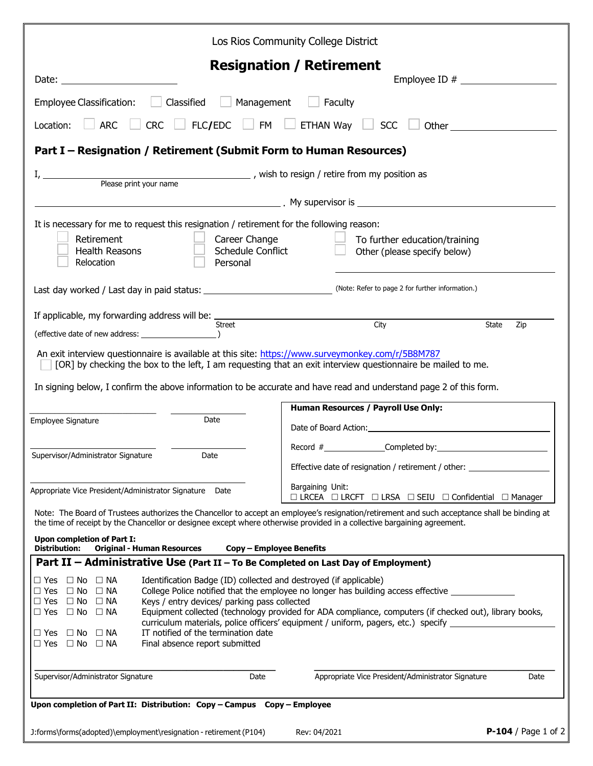| Los Rios Community College District                                                                                                                                                                                                                                                                                                                                                                                                                                                                                                                                                                                                                                                                                    |                                                                                                          |
|------------------------------------------------------------------------------------------------------------------------------------------------------------------------------------------------------------------------------------------------------------------------------------------------------------------------------------------------------------------------------------------------------------------------------------------------------------------------------------------------------------------------------------------------------------------------------------------------------------------------------------------------------------------------------------------------------------------------|----------------------------------------------------------------------------------------------------------|
| <b>Resignation / Retirement</b><br>Date: the contract of the contract of the contract of the contract of the contract of the contract of the contract of the contract of the contract of the contract of the contract of the contract of the contract of the cont                                                                                                                                                                                                                                                                                                                                                                                                                                                      |                                                                                                          |
| Classified<br>Management<br>Employee Classification:<br>Faculty                                                                                                                                                                                                                                                                                                                                                                                                                                                                                                                                                                                                                                                        |                                                                                                          |
| FLC/EDC $\Box$ FM $\Box$ ETHAN Way $\Box$ SCC<br><b>CRC</b><br><b>ARC</b><br>Location:<br>Other the contract of the contract of the contract of the contract of the contract of the contract of the contract of the contract of the contract of the contract of the contract of the contract of the contract of the cont                                                                                                                                                                                                                                                                                                                                                                                               |                                                                                                          |
| Part I - Resignation / Retirement (Submit Form to Human Resources)                                                                                                                                                                                                                                                                                                                                                                                                                                                                                                                                                                                                                                                     |                                                                                                          |
| Please print your name<br>Please print your name<br>Please print your name                                                                                                                                                                                                                                                                                                                                                                                                                                                                                                                                                                                                                                             |                                                                                                          |
|                                                                                                                                                                                                                                                                                                                                                                                                                                                                                                                                                                                                                                                                                                                        |                                                                                                          |
| It is necessary for me to request this resignation / retirement for the following reason:<br>Retirement<br>Career Change<br>To further education/training<br><b>Health Reasons</b><br>Schedule Conflict<br>Other (please specify below)<br>Relocation<br>Personal                                                                                                                                                                                                                                                                                                                                                                                                                                                      |                                                                                                          |
| Last day worked / Last day in paid status: _______________________________(Note: Refer to page 2 for further information.)                                                                                                                                                                                                                                                                                                                                                                                                                                                                                                                                                                                             |                                                                                                          |
| If applicable, my forwarding address will be: _                                                                                                                                                                                                                                                                                                                                                                                                                                                                                                                                                                                                                                                                        |                                                                                                          |
| Street                                                                                                                                                                                                                                                                                                                                                                                                                                                                                                                                                                                                                                                                                                                 | City<br>State<br>Zip                                                                                     |
| An exit interview questionnaire is available at this site: https://www.surveymonkey.com/r/5B8M787<br>[OR] by checking the box to the left, I am requesting that an exit interview questionnaire be mailed to me.<br>In signing below, I confirm the above information to be accurate and have read and understand page 2 of this form.<br>Date<br>Employee Signature                                                                                                                                                                                                                                                                                                                                                   | <b>Human Resources / Payroll Use Only:</b>                                                               |
| Supervisor/Administrator Signature<br>Date                                                                                                                                                                                                                                                                                                                                                                                                                                                                                                                                                                                                                                                                             | Effective date of resignation / retirement / other:                                                      |
| Appropriate Vice President/Administrator Signature Date                                                                                                                                                                                                                                                                                                                                                                                                                                                                                                                                                                                                                                                                | Bargaining Unit:<br>$\Box$ LRCEA $\Box$ LRCFT $\Box$ LRSA $\Box$ SEIU $\Box$ Confidential $\Box$ Manager |
| Note: The Board of Trustees authorizes the Chancellor to accept an employee's resignation/retirement and such acceptance shall be binding at<br>the time of receipt by the Chancellor or designee except where otherwise provided in a collective bargaining agreement.                                                                                                                                                                                                                                                                                                                                                                                                                                                |                                                                                                          |
| <b>Upon completion of Part I:</b><br><b>Distribution:</b><br><b>Original - Human Resources</b><br><b>Copy - Employee Benefits</b>                                                                                                                                                                                                                                                                                                                                                                                                                                                                                                                                                                                      |                                                                                                          |
| Part II - Administrative Use (Part II - To Be Completed on Last Day of Employment)<br>$\Box$ NA<br>Identification Badge (ID) collected and destroyed (if applicable)<br>$\Box$ Yes $\Box$ No<br>College Police notified that the employee no longer has building access effective<br>$\Box$ Yes $\Box$ No<br>$\Box$ NA<br>Keys / entry devices/ parking pass collected<br>$\Box$ Yes $\Box$ No $\Box$ NA<br>Equipment collected (technology provided for ADA compliance, computers (if checked out), library books,<br>$\Box$ Yes $\Box$ No $\Box$ NA<br>curriculum materials, police officers' equipment / uniform, pagers, etc.) specify<br>IT notified of the termination date<br>$\Box$ Yes $\Box$ No<br>$\Box$ NA |                                                                                                          |
| $\Box$ Yes $\Box$ No<br>$\square$ NA<br>Final absence report submitted<br>Supervisor/Administrator Signature<br>Date                                                                                                                                                                                                                                                                                                                                                                                                                                                                                                                                                                                                   | Appropriate Vice President/Administrator Signature<br>Date                                               |
| Upon completion of Part II: Distribution: Copy - Campus Copy - Employee                                                                                                                                                                                                                                                                                                                                                                                                                                                                                                                                                                                                                                                |                                                                                                          |
| J:forms\forms(adopted)\employment\resignation - retirement (P104)                                                                                                                                                                                                                                                                                                                                                                                                                                                                                                                                                                                                                                                      | <b>P-104</b> / Page 1 of 2<br>Rev: 04/2021                                                               |